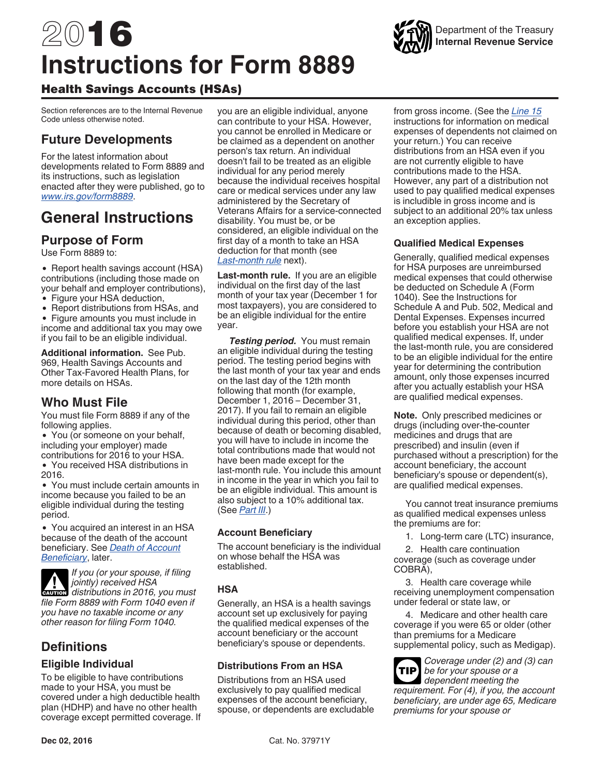# <span id="page-0-0"></span>2016 **Instructions for Form 8889**



Health Savings Accounts (HSAs)

Section references are to the Internal Revenue Code unless otherwise noted.

## **Future Developments**

For the latest information about developments related to Form 8889 and its instructions, such as legislation enacted after they were published, go to *[www.irs.gov/form8889](https://www.irs.gov/form8889)*.

# **General Instructions**

## **Purpose of Form**

Use Form 8889 to:

• Report health savings account (HSA) contributions (including those made on your behalf and employer contributions), • Figure your HSA deduction,

- 
- Report distributions from HSAs, and

Figure amounts you must include in income and additional tax you may owe if you fail to be an eligible individual.

**Additional information.** See Pub. 969, Health Savings Accounts and Other Tax-Favored Health Plans, for more details on HSAs.

## **Who Must File**

You must file Form 8889 if any of the following applies.

You (or someone on your behalf, including your employer) made contributions for 2016 to your HSA.

You received HSA distributions in 2016.

You must include certain amounts in income because you failed to be an eligible individual during the testing period.

You acquired an interest in an HSA because of the death of the account beneficiary. See *[Death of Account](#page-1-0) [Beneficiary](#page-1-0)*, later.

*If you (or your spouse, if filing jointly) received HSA*  **c** *distributions in 2016, you must change of the cautions file Form 8889 with Form 1040 even if you have no taxable income or any other reason for filing Form 1040.*

## **Definitions**

#### **Eligible Individual**

To be eligible to have contributions made to your HSA, you must be covered under a high deductible health plan (HDHP) and have no other health coverage except permitted coverage. If you are an eligible individual, anyone can contribute to your HSA. However, you cannot be enrolled in Medicare or be claimed as a dependent on another person's tax return. An individual doesn't fail to be treated as an eligible individual for any period merely because the individual receives hospital care or medical services under any law administered by the Secretary of Veterans Affairs for a service-connected disability. You must be, or be considered, an eligible individual on the first day of a month to take an HSA deduction for that month (see *Last-month rule* next).

**Last-month rule.** If you are an eligible individual on the first day of the last month of your tax year (December 1 for most taxpayers), you are considered to be an eligible individual for the entire year.

*Testing period.* You must remain an eligible individual during the testing period. The testing period begins with the last month of your tax year and ends on the last day of the 12th month following that month (for example, December 1, 2016 – December 31, 2017). If you fail to remain an eligible individual during this period, other than because of death or becoming disabled, you will have to include in income the total contributions made that would not have been made except for the last-month rule. You include this amount in income in the year in which you fail to be an eligible individual. This amount is also subject to a 10% additional tax. (See *[Part III](#page-5-0)*.)

#### **Account Beneficiary**

The account beneficiary is the individual on whose behalf the HSA was established.

#### **HSA**

Generally, an HSA is a health savings account set up exclusively for paying the qualified medical expenses of the account beneficiary or the account beneficiary's spouse or dependents.

#### **Distributions From an HSA**

Distributions from an HSA used exclusively to pay qualified medical expenses of the account beneficiary, spouse, or dependents are excludable



#### **Qualified Medical Expenses**

Generally, qualified medical expenses for HSA purposes are unreimbursed medical expenses that could otherwise be deducted on Schedule A (Form 1040). See the Instructions for Schedule A and Pub. 502, Medical and Dental Expenses. Expenses incurred before you establish your HSA are not qualified medical expenses. If, under the last-month rule, you are considered to be an eligible individual for the entire year for determining the contribution amount, only those expenses incurred after you actually establish your HSA are qualified medical expenses.

**Note.** Only prescribed medicines or drugs (including over-the-counter medicines and drugs that are prescribed) and insulin (even if purchased without a prescription) for the account beneficiary, the account beneficiary's spouse or dependent(s), are qualified medical expenses.

You cannot treat insurance premiums as qualified medical expenses unless the premiums are for:

1. Long-term care (LTC) insurance,

2. Health care continuation coverage (such as coverage under COBRA),

3. Health care coverage while receiving unemployment compensation under federal or state law, or

4. Medicare and other health care coverage if you were 65 or older (other than premiums for a Medicare supplemental policy, such as Medigap).

*Coverage under (2) and (3) can be for your spouse or a*  **TIP** *dependent meeting the requirement. For (4), if you, the account beneficiary, are under age 65, Medicare premiums for your spouse or* 

Department of the Treasury **Internal Revenue Service**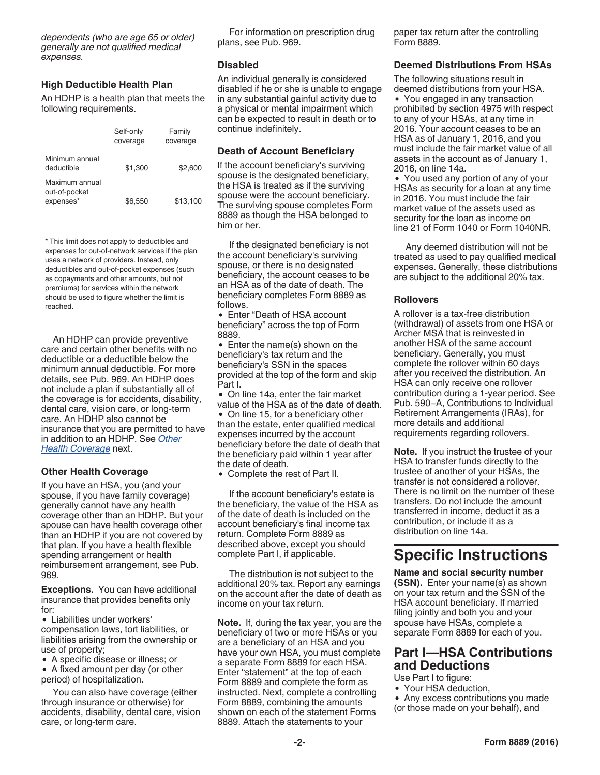<span id="page-1-0"></span>*dependents (who are age 65 or older) generally are not qualified medical expenses.*

#### **High Deductible Health Plan**

An HDHP is a health plan that meets the following requirements.

|                                              | Self-only<br>coverage | Family<br>coverage |
|----------------------------------------------|-----------------------|--------------------|
| Minimum annual<br>deductible                 | \$1.300               | \$2,600            |
| Maximum annual<br>out-of-pocket<br>expenses* | \$6.550               | \$13,100           |

\* This limit does not apply to deductibles and expenses for out-of-network services if the plan uses a network of providers. Instead, only deductibles and out-of-pocket expenses (such as copayments and other amounts, but not premiums) for services within the network should be used to figure whether the limit is reached.

An HDHP can provide preventive care and certain other benefits with no deductible or a deductible below the minimum annual deductible. For more details, see Pub. 969. An HDHP does not include a plan if substantially all of the coverage is for accidents, disability, dental care, vision care, or long-term care. An HDHP also cannot be insurance that you are permitted to have in addition to an HDHP. See *Other Health Coverage* next.

#### **Other Health Coverage**

If you have an HSA, you (and your spouse, if you have family coverage) generally cannot have any health coverage other than an HDHP. But your spouse can have health coverage other than an HDHP if you are not covered by that plan. If you have a health flexible spending arrangement or health reimbursement arrangement, see Pub. 969.

**Exceptions.** You can have additional insurance that provides benefits only for:

Liabilities under workers' compensation laws, tort liabilities, or liabilities arising from the ownership or use of property;

A specific disease or illness; or

A fixed amount per day (or other period) of hospitalization.

You can also have coverage (either through insurance or otherwise) for accidents, disability, dental care, vision care, or long-term care.

For information on prescription drug plans, see Pub. 969.

#### **Disabled**

An individual generally is considered disabled if he or she is unable to engage in any substantial gainful activity due to a physical or mental impairment which can be expected to result in death or to continue indefinitely.

#### **Death of Account Beneficiary**

If the account beneficiary's surviving spouse is the designated beneficiary, the HSA is treated as if the surviving spouse were the account beneficiary. The surviving spouse completes Form 8889 as though the HSA belonged to him or her.

If the designated beneficiary is not the account beneficiary's surviving spouse, or there is no designated beneficiary, the account ceases to be an HSA as of the date of death. The beneficiary completes Form 8889 as follows.

Enter "Death of HSA account beneficiary" across the top of Form 8889.

• Enter the name(s) shown on the beneficiary's tax return and the beneficiary's SSN in the spaces provided at the top of the form and skip Part I.

On line 14a, enter the fair market value of the HSA as of the date of death.

On line 15, for a beneficiary other than the estate, enter qualified medical expenses incurred by the account beneficiary before the date of death that the beneficiary paid within 1 year after the date of death.

Complete the rest of Part II.

If the account beneficiary's estate is the beneficiary, the value of the HSA as of the date of death is included on the account beneficiary's final income tax return. Complete Form 8889 as described above, except you should complete Part I, if applicable.

The distribution is not subject to the additional 20% tax. Report any earnings on the account after the date of death as income on your tax return.

**Note.** If, during the tax year, you are the beneficiary of two or more HSAs or you are a beneficiary of an HSA and you have your own HSA, you must complete a separate Form 8889 for each HSA. Enter "statement" at the top of each Form 8889 and complete the form as instructed. Next, complete a controlling Form 8889, combining the amounts shown on each of the statement Forms 8889. Attach the statements to your

paper tax return after the controlling Form 8889.

#### **Deemed Distributions From HSAs**

The following situations result in deemed distributions from your HSA.

You engaged in any transaction prohibited by section 4975 with respect to any of your HSAs, at any time in 2016. Your account ceases to be an HSA as of January 1, 2016, and you must include the fair market value of all assets in the account as of January 1, 2016, on line 14a.

You used any portion of any of your HSAs as security for a loan at any time in 2016. You must include the fair market value of the assets used as security for the loan as income on line 21 of Form 1040 or Form 1040NR.

Any deemed distribution will not be treated as used to pay qualified medical expenses. Generally, these distributions are subject to the additional 20% tax.

#### **Rollovers**

A rollover is a tax-free distribution (withdrawal) of assets from one HSA or Archer MSA that is reinvested in another HSA of the same account beneficiary. Generally, you must complete the rollover within 60 days after you received the distribution. An HSA can only receive one rollover contribution during a 1-year period. See Pub. 590−A, Contributions to Individual Retirement Arrangements (IRAs), for more details and additional requirements regarding rollovers.

**Note.** If you instruct the trustee of your HSA to transfer funds directly to the trustee of another of your HSAs, the transfer is not considered a rollover. There is no limit on the number of these transfers. Do not include the amount transferred in income, deduct it as a contribution, or include it as a distribution on line 14a.

## **Specific Instructions**

**Name and social security number (SSN).** Enter your name(s) as shown on your tax return and the SSN of the HSA account beneficiary. If married filing jointly and both you and your spouse have HSAs, complete a separate Form 8889 for each of you.

## **Part I—HSA Contributions and Deductions**

Use Part I to figure:

- Your HSA deduction,
- Any excess contributions you made (or those made on your behalf), and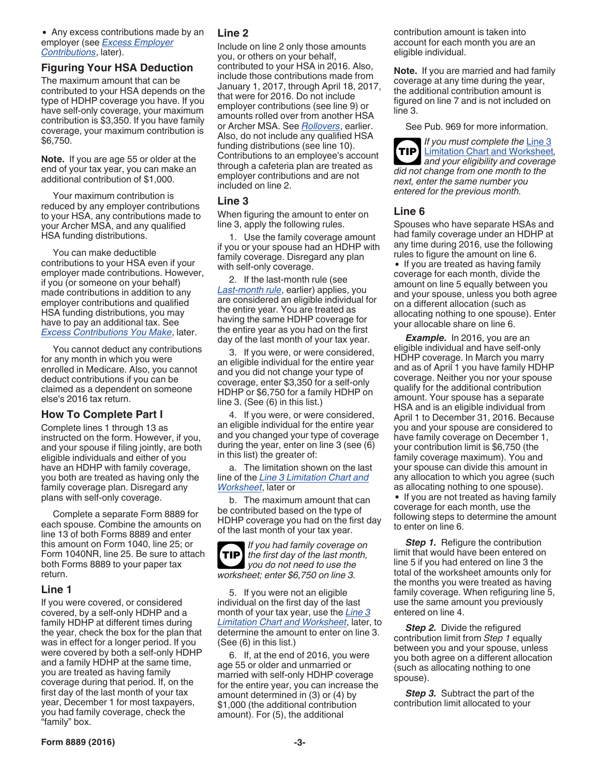#### • Any excess contributions made by an employer (see *[Excess Employer](#page-4-0)  [Contributions](#page-4-0)*, later).

#### **Figuring Your HSA Deduction**

The maximum amount that can be contributed to your HSA depends on the type of HDHP coverage you have. If you have self-only coverage, your maximum contribution is \$3,350. If you have family coverage, your maximum contribution is \$6,750.

**Note.** If you are age 55 or older at the end of your tax year, you can make an additional contribution of \$1,000.

Your maximum contribution is reduced by any employer contributions to your HSA, any contributions made to your Archer MSA, and any qualified HSA funding distributions.

You can make deductible contributions to your HSA even if your employer made contributions. However, if you (or someone on your behalf) made contributions in addition to any employer contributions and qualified HSA funding distributions, you may have to pay an additional tax. See *[Excess Contributions You Make](#page-4-0)*, later.

You cannot deduct any contributions for any month in which you were enrolled in Medicare. Also, you cannot deduct contributions if you can be claimed as a dependent on someone else's 2016 tax return.

#### **How To Complete Part I**

Complete lines 1 through 13 as instructed on the form. However, if you, and your spouse if filing jointly, are both eligible individuals and either of you have an HDHP with family coverage, you both are treated as having only the family coverage plan. Disregard any plans with self-only coverage.

Complete a separate Form 8889 for each spouse. Combine the amounts on line 13 of both Forms 8889 and enter this amount on Form 1040, line 25; or Form 1040NR, line 25. Be sure to attach both Forms 8889 to your paper tax return.

#### **Line 1**

If you were covered, or considered covered, by a self-only HDHP and a family HDHP at different times during the year, check the box for the plan that was in effect for a longer period. If you were covered by both a self-only HDHP and a family HDHP at the same time, you are treated as having family coverage during that period. If, on the first day of the last month of your tax year, December 1 for most taxpayers, you had family coverage, check the "family" box.

#### **Line 2**

Include on line 2 only those amounts you, or others on your behalf, contributed to your HSA in 2016. Also, include those contributions made from January 1, 2017, through April 18, 2017, that were for 2016. Do not include employer contributions (see line 9) or amounts rolled over from another HSA or Archer MSA. See *[Rollovers](#page-1-0)*, earlier. Also, do not include any qualified HSA funding distributions (see line 10). Contributions to an employee's account through a cafeteria plan are treated as employer contributions and are not included on line 2.

#### **Line 3**

When figuring the amount to enter on line 3, apply the following rules.

1. Use the family coverage amount if you or your spouse had an HDHP with family coverage. Disregard any plan with self-only coverage.

2. If the last-month rule (see *[Last-month rule](#page-0-0)*, earlier) applies, you are considered an eligible individual for the entire year. You are treated as having the same HDHP coverage for the entire year as you had on the first day of the last month of your tax year.

3. If you were, or were considered, an eligible individual for the entire year and you did not change your type of coverage, enter \$3,350 for a self-only HDHP or \$6,750 for a family HDHP on line 3. (See (6) in this list.)

4. If you were, or were considered, an eligible individual for the entire year and you changed your type of coverage during the year, enter on line 3 (see (6) in this list) the greater of:

a. The limitation shown on the last line of the *[Line 3 Limitation Chart and](#page-3-0)  [Worksheet](#page-3-0)*, later or

b. The maximum amount that can be contributed based on the type of HDHP coverage you had on the first day of the last month of your tax year.



*If you had family coverage on the first day of the last month,*  **TIP** *you do not need to use the worksheet; enter \$6,750 on line 3.*

5. If you were not an eligible individual on the first day of the last month of your tax year, use the *[Line 3](#page-3-0) [Limitation Chart and Worksheet](#page-3-0)*, later, to determine the amount to enter on line 3. (See (6) in this list.)

6. If, at the end of 2016, you were age 55 or older and unmarried or married with self-only HDHP coverage for the entire year, you can increase the amount determined in (3) or (4) by \$1,000 (the additional contribution amount). For (5), the additional

contribution amount is taken into account for each month you are an eligible individual.

**Note.** If you are married and had family coverage at any time during the year, the additional contribution amount is figured on line 7 and is not included on line 3.

See Pub. 969 for more information.

*If you must complete the* [Line 3](#page-3-0)  [Limitation Chart and Worksheet](#page-3-0)*, and your eligibility and coverage did not change from one month to the next, enter the same number you entered for the previous month.* **TIP**

#### **Line 6**

Spouses who have separate HSAs and had family coverage under an HDHP at any time during 2016, use the following rules to figure the amount on line 6.

• If you are treated as having family coverage for each month, divide the amount on line 5 equally between you and your spouse, unless you both agree on a different allocation (such as allocating nothing to one spouse). Enter your allocable share on line 6.

*Example.* In 2016, you are an eligible individual and have self-only HDHP coverage. In March you marry and as of April 1 you have family HDHP coverage. Neither you nor your spouse qualify for the additional contribution amount. Your spouse has a separate HSA and is an eligible individual from April 1 to December 31, 2016. Because you and your spouse are considered to have family coverage on December 1, your contribution limit is \$6,750 (the family coverage maximum). You and your spouse can divide this amount in any allocation to which you agree (such as allocating nothing to one spouse).

• If you are not treated as having family coverage for each month, use the following steps to determine the amount to enter on line 6.

**Step 1.** Refigure the contribution limit that would have been entered on line 5 if you had entered on line 3 the total of the worksheet amounts only for the months you were treated as having family coverage. When refiguring line 5, use the same amount you previously entered on line 4.

**Step 2.** Divide the refigured contribution limit from *Step 1* equally between you and your spouse, unless you both agree on a different allocation (such as allocating nothing to one spouse).

**Step 3.** Subtract the part of the contribution limit allocated to your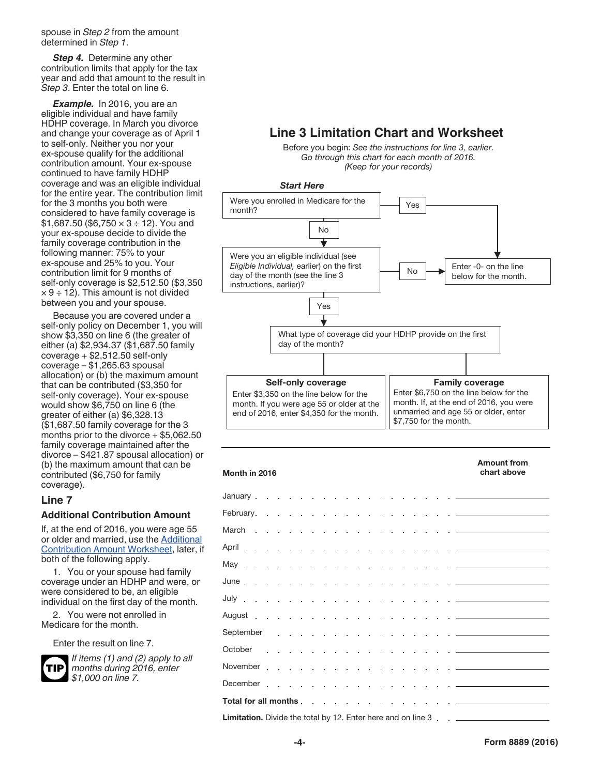<span id="page-3-0"></span>spouse in *Step 2* from the amount determined in *Step 1*.

**Step 4.** Determine any other contribution limits that apply for the tax year and add that amount to the result in *Step 3*. Enter the total on line 6.

*Example.* In 2016, you are an eligible individual and have family HDHP coverage. In March you divorce and change your coverage as of April 1 to self-only. Neither you nor your ex-spouse qualify for the additional contribution amount. Your ex-spouse continued to have family HDHP coverage and was an eligible individual for the entire year. The contribution limit for the 3 months you both were considered to have family coverage is  $$1,687.50$  (\$6,750  $\times$  3 ÷ 12). You and your ex-spouse decide to divide the family coverage contribution in the following manner: 75% to your ex-spouse and 25% to you. Your contribution limit for 9 months of self-only coverage is \$2,512.50 (\$3,350  $\times$  9 ÷ 12). This amount is not divided between you and your spouse.

Because you are covered under a self-only policy on December 1, you will show \$3,350 on line 6 (the greater of either (a) \$2,934.37 (\$1,687.50 family coverage + \$2,512.50 self-only coverage – \$1,265.63 spousal allocation) or (b) the maximum amount that can be contributed (\$3,350 for self-only coverage). Your ex-spouse would show \$6,750 on line 6 (the greater of either (a) \$6,328.13 (\$1,687.50 family coverage for the 3 months prior to the divorce + \$5,062.50 family coverage maintained after the divorce – \$421.87 spousal allocation) or (b) the maximum amount that can be contributed (\$6,750 for family coverage).

#### **Line 7**

#### **Additional Contribution Amount**

If, at the end of 2016, you were age 55 or older and married, use the [Additional](#page-4-0) [Contribution Amount Worksheet,](#page-4-0) later, if both of the following apply.

1. You or your spouse had family coverage under an HDHP and were, or were considered to be, an eligible individual on the first day of the month.

2. You were not enrolled in Medicare for the month.

Enter the result on line 7.



*If items (1) and (2) apply to all months during 2016, enter \$1,000 on line 7.*

#### **Line 3 Limitation Chart and Worksheet**

Before you begin: *See the instructions for line 3, earlier. Go through this chart for each month of 2016. (Keep for your records)*



| Month in 2016                                                                       | chart above |
|-------------------------------------------------------------------------------------|-------------|
|                                                                                     |             |
|                                                                                     |             |
|                                                                                     |             |
|                                                                                     |             |
|                                                                                     |             |
|                                                                                     |             |
|                                                                                     |             |
| August <del>.</del>                                                                 |             |
|                                                                                     |             |
|                                                                                     |             |
|                                                                                     |             |
|                                                                                     |             |
|                                                                                     |             |
|                                                                                     |             |
| <b>Limitation.</b> Divide the total by 12. Enter here and on line 3 _______________ |             |

Amount from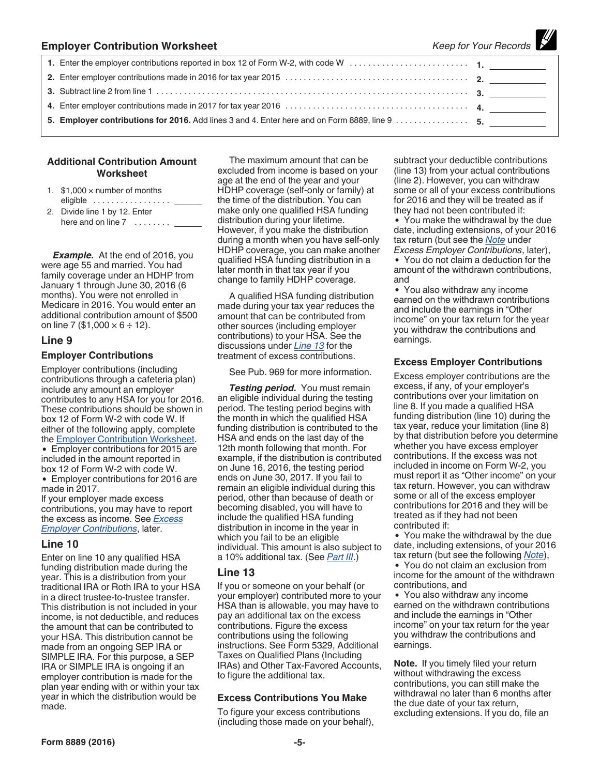<span id="page-4-0"></span>

| <b>Employer Contribution Worksheet</b> | Keep for Your Records |
|----------------------------------------|-----------------------|
|                                        |                       |
|                                        |                       |
|                                        |                       |
|                                        |                       |
|                                        |                       |

#### **Additional Contribution Amount Worksheet**

- 1.  $$1,000 \times$  number of months eligible .................
- 2. Divide line 1 by 12. Enter here and on line 7 ........

*Example.* At the end of 2016, you were age 55 and married. You had family coverage under an HDHP from January 1 through June 30, 2016 (6 months). You were not enrolled in Medicare in 2016. You would enter an additional contribution amount of \$500 on line 7 (\$1,000  $\times$  6 ÷ 12).

#### **Line 9**

#### **Employer Contributions**

Employer contributions (including contributions through a cafeteria plan) include any amount an employer contributes to any HSA for you for 2016. These contributions should be shown in box 12 of Form W-2 with code W. If either of the following apply, complete the Employer Contribution Worksheet.

Employer contributions for 2015 are included in the amount reported in box 12 of Form W-2 with code W.

• Employer contributions for 2016 are made in 2017.

If your employer made excess contributions, you may have to report the excess as income. See *Excess Employer Contributions*, later.

#### **Line 10**

Enter on line 10 any qualified HSA funding distribution made during the year. This is a distribution from your traditional IRA or Roth IRA to your HSA in a direct trustee-to-trustee transfer. This distribution is not included in your income, is not deductible, and reduces the amount that can be contributed to your HSA. This distribution cannot be made from an ongoing SEP IRA or SIMPLE IRA. For this purpose, a SEP IRA or SIMPLE IRA is ongoing if an employer contribution is made for the plan year ending with or within your tax year in which the distribution would be made.

The maximum amount that can be excluded from income is based on your age at the end of the year and your HDHP coverage (self-only or family) at the time of the distribution. You can make only one qualified HSA funding distribution during your lifetime. However, if you make the distribution during a month when you have self-only HDHP coverage, you can make another qualified HSA funding distribution in a later month in that tax year if you change to family HDHP coverage.

A qualified HSA funding distribution made during your tax year reduces the amount that can be contributed from other sources (including employer contributions) to your HSA. See the discussions under *Line 13* for the treatment of excess contributions.

See Pub. 969 for more information.

**Testing period.** You must remain an eligible individual during the testing period. The testing period begins with the month in which the qualified HSA funding distribution is contributed to the HSA and ends on the last day of the 12th month following that month. For example, if the distribution is contributed on June 16, 2016, the testing period ends on June 30, 2017. If you fail to remain an eligible individual during this period, other than because of death or becoming disabled, you will have to include the qualified HSA funding distribution in income in the year in which you fail to be an eligible individual. This amount is also subject to a 10% additional tax. (See *[Part III](#page-5-0)*.)

#### **Line 13**

If you or someone on your behalf (or your employer) contributed more to your HSA than is allowable, you may have to pay an additional tax on the excess contributions. Figure the excess contributions using the following instructions. See Form 5329, Additional Taxes on Qualified Plans (Including IRAs) and Other Tax-Favored Accounts, to figure the additional tax.

#### **Excess Contributions You Make**

To figure your excess contributions (including those made on your behalf), subtract your deductible contributions (line 13) from your actual contributions (line 2). However, you can withdraw some or all of your excess contributions for 2016 and they will be treated as if they had not been contributed if:

 $\mathcal{H}$ 

You make the withdrawal by the due date, including extensions, of your 2016 tax return (but see the *Note* under *Excess Employer Contributions*, later), You do not claim a deduction for the

amount of the withdrawn contributions, and

You also withdraw any income earned on the withdrawn contributions and include the earnings in "Other income" on your tax return for the year you withdraw the contributions and earnings.

#### **Excess Employer Contributions**

Excess employer contributions are the excess, if any, of your employer's contributions over your limitation on line 8. If you made a qualified HSA funding distribution (line 10) during the tax year, reduce your limitation (line 8) by that distribution before you determine whether you have excess employer contributions. If the excess was not included in income on Form W-2, you must report it as "Other income" on your tax return. However, you can withdraw some or all of the excess employer contributions for 2016 and they will be treated as if they had not been contributed if:

You make the withdrawal by the due date, including extensions, of your 2016 tax return (but see the following *Note*), You do not claim an exclusion from income for the amount of the withdrawn contributions, and

You also withdraw any income earned on the withdrawn contributions and include the earnings in "Other income" on your tax return for the year you withdraw the contributions and earnings.

**Note.** If you timely filed your return without withdrawing the excess contributions, you can still make the withdrawal no later than 6 months after the due date of your tax return, excluding extensions. If you do, file an